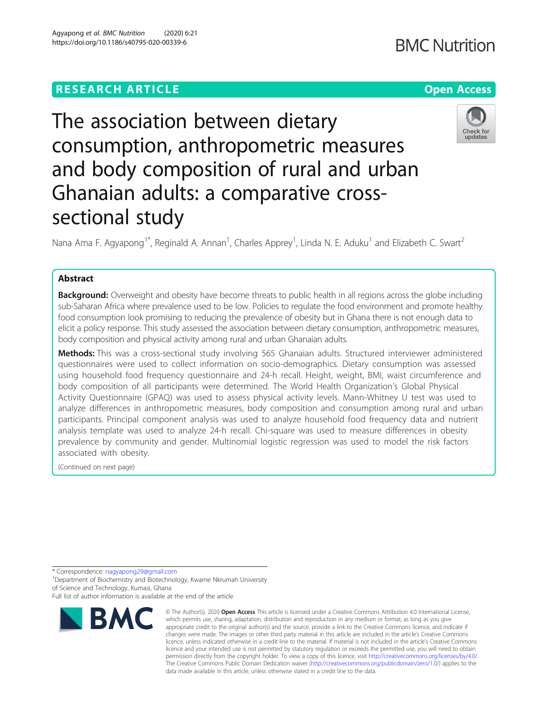## **RESEARCH ARTICLE Example 2014 12:30 The Company Access** (RESEARCH ARTICLE

# The association between dietary consumption, anthropometric measures and body composition of rural and urban Ghanaian adults: a comparative crosssectional study

Nana Ama F. Agyapong<sup>1\*</sup>, Reginald A. Annan<sup>1</sup>, Charles Apprey<sup>1</sup>, Linda N. E. Aduku<sup>1</sup> and Elizabeth C. Swart<sup>2</sup>

## Abstract

Background: Overweight and obesity have become threats to public health in all regions across the globe including sub-Saharan Africa where prevalence used to be low. Policies to regulate the food environment and promote healthy food consumption look promising to reducing the prevalence of obesity but in Ghana there is not enough data to elicit a policy response. This study assessed the association between dietary consumption, anthropometric measures, body composition and physical activity among rural and urban Ghanaian adults.

Methods: This was a cross-sectional study involving 565 Ghanaian adults. Structured interviewer administered questionnaires were used to collect information on socio-demographics. Dietary consumption was assessed using household food frequency questionnaire and 24-h recall. Height, weight, BMI, waist circumference and body composition of all participants were determined. The World Health Organization's Global Physical Activity Questionnaire (GPAQ) was used to assess physical activity levels. Mann-Whitney U test was used to analyze differences in anthropometric measures, body composition and consumption among rural and urban participants. Principal component analysis was used to analyze household food frequency data and nutrient analysis template was used to analyze 24-h recall. Chi-square was used to measure differences in obesity prevalence by community and gender. Multinomial logistic regression was used to model the risk factors associated with obesity.

(Continued on next page)

\* Correspondence: [nagyapong29@gmail.com](mailto:nagyapong29@gmail.com) <sup>1</sup>

<sup>1</sup> Department of Biochemistry and Biotechnology, Kwame Nkrumah University of Science and Technology, Kumasi, Ghana



<sup>©</sup> The Author(s), 2020 **Open Access** This article is licensed under a Creative Commons Attribution 4.0 International License, which permits use, sharing, adaptation, distribution and reproduction in any medium or format, as long as you give appropriate credit to the original author(s) and the source, provide a link to the Creative Commons licence, and indicate if changes were made. The images or other third party material in this article are included in the article's Creative Commons licence, unless indicated otherwise in a credit line to the material. If material is not included in the article's Creative Commons licence and your intended use is not permitted by statutory regulation or exceeds the permitted use, you will need to obtain permission directly from the copyright holder. To view a copy of this licence, visit [http://creativecommons.org/licenses/by/4.0/.](http://creativecommons.org/licenses/by/4.0/) The Creative Commons Public Domain Dedication waiver [\(http://creativecommons.org/publicdomain/zero/1.0/](http://creativecommons.org/publicdomain/zero/1.0/)) applies to the data made available in this article, unless otherwise stated in a credit line to the data.





Full list of author information is available at the end of the article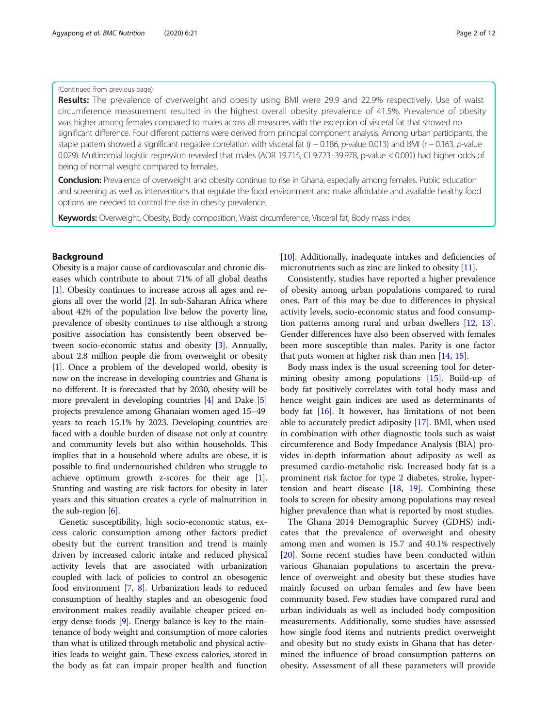## (Continued from previous page)

Results: The prevalence of overweight and obesity using BMI were 29.9 and 22.9% respectively. Use of waist circumference measurement resulted in the highest overall obesity prevalence of 41.5%. Prevalence of obesity was higher among females compared to males across all measures with the exception of visceral fat that showed no significant difference. Four different patterns were derived from principal component analysis. Among urban participants, the staple pattern showed a significant negative correlation with visceral fat (r − 0.186, p-value 0.013) and BMI (r − 0.163, p-value 0.029). Multinomial logistic regression revealed that males (AOR 19.715, CI 9.723–39.978, p-value < 0.001) had higher odds of being of normal weight compared to females.

**Conclusion:** Prevalence of overweight and obesity continue to rise in Ghana, especially among females. Public education and screening as well as interventions that regulate the food environment and make affordable and available healthy food options are needed to control the rise in obesity prevalence.

**Keywords:** Overweight, Obesity, Body composition, Waist circumference, Visceral fat, Body mass index

## Background

Obesity is a major cause of cardiovascular and chronic diseases which contribute to about 71% of all global deaths [[1\]](#page-10-0). Obesity continues to increase across all ages and regions all over the world [\[2](#page-10-0)]. In sub-Saharan Africa where about 42% of the population live below the poverty line, prevalence of obesity continues to rise although a strong positive association has consistently been observed between socio-economic status and obesity [\[3\]](#page-10-0). Annually, about 2.8 million people die from overweight or obesity [[1\]](#page-10-0). Once a problem of the developed world, obesity is now on the increase in developing countries and Ghana is no different. It is forecasted that by 2030, obesity will be more prevalent in developing countries [[4\]](#page-10-0) and Dake [[5](#page-10-0)] projects prevalence among Ghanaian women aged 15–49 years to reach 15.1% by 2023. Developing countries are faced with a double burden of disease not only at country and community levels but also within households. This implies that in a household where adults are obese, it is possible to find undernourished children who struggle to achieve optimum growth z-scores for their age [[1](#page-10-0)]. Stunting and wasting are risk factors for obesity in later years and this situation creates a cycle of malnutrition in the sub-region  $[6]$  $[6]$ .

Genetic susceptibility, high socio-economic status, excess caloric consumption among other factors predict obesity but the current transition and trend is mainly driven by increased caloric intake and reduced physical activity levels that are associated with urbanization coupled with lack of policies to control an obesogenic food environment [\[7](#page-11-0), [8\]](#page-11-0). Urbanization leads to reduced consumption of healthy staples and an obesogenic food environment makes readily available cheaper priced energy dense foods [\[9](#page-11-0)]. Energy balance is key to the maintenance of body weight and consumption of more calories than what is utilized through metabolic and physical activities leads to weight gain. These excess calories, stored in the body as fat can impair proper health and function

[[10](#page-11-0)]. Additionally, inadequate intakes and deficiencies of micronutrients such as zinc are linked to obesity [\[11\]](#page-11-0).

Consistently, studies have reported a higher prevalence of obesity among urban populations compared to rural ones. Part of this may be due to differences in physical activity levels, socio-economic status and food consumption patterns among rural and urban dwellers [\[12](#page-11-0), [13](#page-11-0)]. Gender differences have also been observed with females been more susceptible than males. Parity is one factor that puts women at higher risk than men [[14](#page-11-0), [15](#page-11-0)].

Body mass index is the usual screening tool for determining obesity among populations [[15\]](#page-11-0). Build-up of body fat positively correlates with total body mass and hence weight gain indices are used as determinants of body fat  $[16]$ . It however, has limitations of not been able to accurately predict adiposity [[17](#page-11-0)]. BMI, when used in combination with other diagnostic tools such as waist circumference and Body Impedance Analysis (BIA) provides in-depth information about adiposity as well as presumed cardio-metabolic risk. Increased body fat is a prominent risk factor for type 2 diabetes, stroke, hypertension and heart disease  $[18, 19]$  $[18, 19]$  $[18, 19]$  $[18, 19]$  $[18, 19]$ . Combining these tools to screen for obesity among populations may reveal higher prevalence than what is reported by most studies.

The Ghana 2014 Demographic Survey (GDHS) indicates that the prevalence of overweight and obesity among men and women is 15.7 and 40.1% respectively [[20\]](#page-11-0). Some recent studies have been conducted within various Ghanaian populations to ascertain the prevalence of overweight and obesity but these studies have mainly focused on urban females and few have been community based. Few studies have compared rural and urban individuals as well as included body composition measurements. Additionally, some studies have assessed how single food items and nutrients predict overweight and obesity but no study exists in Ghana that has determined the influence of broad consumption patterns on obesity. Assessment of all these parameters will provide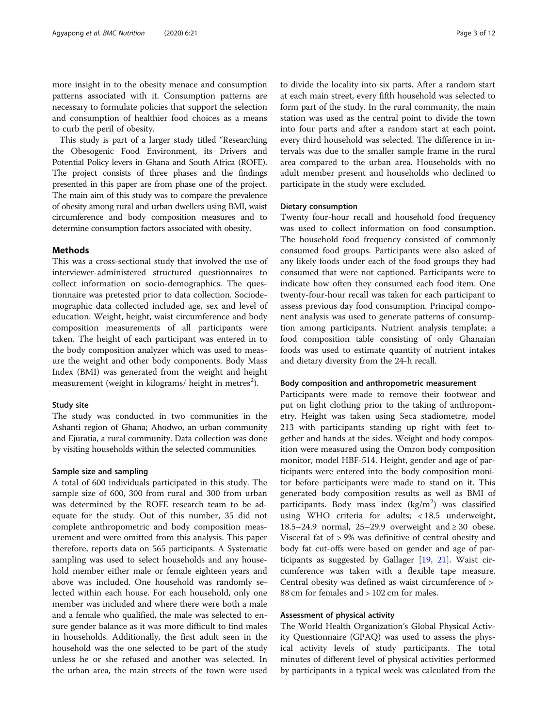more insight in to the obesity menace and consumption patterns associated with it. Consumption patterns are necessary to formulate policies that support the selection and consumption of healthier food choices as a means to curb the peril of obesity.

This study is part of a larger study titled "Researching the Obesogenic Food Environment, its Drivers and Potential Policy levers in Ghana and South Africa (ROFE). The project consists of three phases and the findings presented in this paper are from phase one of the project. The main aim of this study was to compare the prevalence of obesity among rural and urban dwellers using BMI, waist circumference and body composition measures and to determine consumption factors associated with obesity.

## Methods

This was a cross-sectional study that involved the use of interviewer-administered structured questionnaires to collect information on socio-demographics. The questionnaire was pretested prior to data collection. Sociodemographic data collected included age, sex and level of education. Weight, height, waist circumference and body composition measurements of all participants were taken. The height of each participant was entered in to the body composition analyzer which was used to measure the weight and other body components. Body Mass Index (BMI) was generated from the weight and height measurement (weight in kilograms/ height in metres $^2$ ).

## Study site

The study was conducted in two communities in the Ashanti region of Ghana; Ahodwo, an urban community and Ejuratia, a rural community. Data collection was done by visiting households within the selected communities.

## Sample size and sampling

A total of 600 individuals participated in this study. The sample size of 600, 300 from rural and 300 from urban was determined by the ROFE research team to be adequate for the study. Out of this number, 35 did not complete anthropometric and body composition measurement and were omitted from this analysis. This paper therefore, reports data on 565 participants. A Systematic sampling was used to select households and any household member either male or female eighteen years and above was included. One household was randomly selected within each house. For each household, only one member was included and where there were both a male and a female who qualified, the male was selected to ensure gender balance as it was more difficult to find males in households. Additionally, the first adult seen in the household was the one selected to be part of the study unless he or she refused and another was selected. In the urban area, the main streets of the town were used

to divide the locality into six parts. After a random start at each main street, every fifth household was selected to form part of the study. In the rural community, the main station was used as the central point to divide the town into four parts and after a random start at each point, every third household was selected. The difference in intervals was due to the smaller sample frame in the rural area compared to the urban area. Households with no adult member present and households who declined to participate in the study were excluded.

## Dietary consumption

Twenty four-hour recall and household food frequency was used to collect information on food consumption. The household food frequency consisted of commonly consumed food groups. Participants were also asked of any likely foods under each of the food groups they had consumed that were not captioned. Participants were to indicate how often they consumed each food item. One twenty-four-hour recall was taken for each participant to assess previous day food consumption. Principal component analysis was used to generate patterns of consumption among participants. Nutrient analysis template; a food composition table consisting of only Ghanaian foods was used to estimate quantity of nutrient intakes and dietary diversity from the 24-h recall.

## Body composition and anthropometric measurement

Participants were made to remove their footwear and put on light clothing prior to the taking of anthropometry. Height was taken using Seca stadiometre, model 213 with participants standing up right with feet together and hands at the sides. Weight and body composition were measured using the Omron body composition monitor, model HBF-514. Height, gender and age of participants were entered into the body composition monitor before participants were made to stand on it. This generated body composition results as well as BMI of participants. Body mass index  $(kg/m^2)$  was classified using WHO criteria for adults; < 18.5 underweight, 18.5–24.9 normal, 25–29.9 overweight and ≥ 30 obese. Visceral fat of > 9% was definitive of central obesity and body fat cut-offs were based on gender and age of participants as suggested by Gallager [[19](#page-11-0), [21](#page-11-0)]. Waist circumference was taken with a flexible tape measure. Central obesity was defined as waist circumference of > 88 cm for females and > 102 cm for males.

## Assessment of physical activity

The World Health Organization's Global Physical Activity Questionnaire (GPAQ) was used to assess the physical activity levels of study participants. The total minutes of different level of physical activities performed by participants in a typical week was calculated from the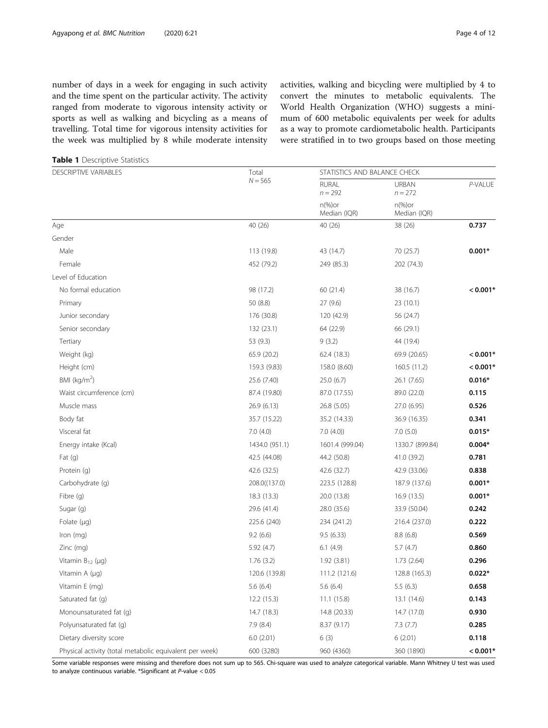<span id="page-3-0"></span>number of days in a week for engaging in such activity and the time spent on the particular activity. The activity ranged from moderate to vigorous intensity activity or sports as well as walking and bicycling as a means of travelling. Total time for vigorous intensity activities for the week was multiplied by 8 while moderate intensity activities, walking and bicycling were multiplied by 4 to convert the minutes to metabolic equivalents. The World Health Organization (WHO) suggests a minimum of 600 metabolic equivalents per week for adults as a way to promote cardiometabolic health. Participants were stratified in to two groups based on those meeting

Table 1 Descriptive Statistics

| DESCRIPTIVE VARIABLES                                   | Total          | STATISTICS AND BALANCE CHECK      |                                   |            |
|---------------------------------------------------------|----------------|-----------------------------------|-----------------------------------|------------|
|                                                         | $N = 565$      | <b>RURAL</b><br>$n = 292$         | <b>URBAN</b><br>$n = 272$         | P-VALUE    |
|                                                         |                | $n\frac{9}{6}$ or<br>Median (IQR) | $n\frac{9}{6}$ or<br>Median (IQR) |            |
| Age                                                     | 40 (26)        | 40 (26)                           | 38 (26)                           | 0.737      |
| Gender                                                  |                |                                   |                                   |            |
| Male                                                    | 113 (19.8)     | 43 (14.7)                         | 70 (25.7)                         | $0.001*$   |
| Female                                                  | 452 (79.2)     | 249 (85.3)                        | 202 (74.3)                        |            |
| Level of Education                                      |                |                                   |                                   |            |
| No formal education                                     | 98 (17.2)      | 60 (21.4)                         | 38 (16.7)                         | $< 0.001*$ |
| Primary                                                 | 50 (8.8)       | 27(9.6)                           | 23 (10.1)                         |            |
| Junior secondary                                        | 176 (30.8)     | 120 (42.9)                        | 56 (24.7)                         |            |
| Senior secondary                                        | 132 (23.1)     | 64 (22.9)                         | 66 (29.1)                         |            |
| Tertiary                                                | 53 (9.3)       | 9(3.2)                            | 44 (19.4)                         |            |
| Weight (kg)                                             | 65.9 (20.2)    | 62.4 (18.3)                       | 69.9 (20.65)                      | $< 0.001*$ |
| Height (cm)                                             | 159.3 (9.83)   | 158.0 (8.60)                      | 160.5 (11.2)                      | $< 0.001*$ |
| BMI ( $\text{kg/m}^2$ )                                 | 25.6 (7.40)    | 25.0(6.7)                         | 26.1 (7.65)                       | $0.016*$   |
| Waist circumference (cm)                                | 87.4 (19.80)   | 87.0 (17.55)                      | 89.0 (22.0)                       | 0.115      |
| Muscle mass                                             | 26.9(6.13)     | 26.8 (5.05)                       | 27.0 (6.95)                       | 0.526      |
| Body fat                                                | 35.7 (15.22)   | 35.2 (14.33)                      | 36.9 (16.35)                      | 0.341      |
| Visceral fat                                            | 7.0(4.0)       | 7.0(4.0)                          | 7.0(5.0)                          | $0.015*$   |
| Energy intake (Kcal)                                    | 1434.0 (951.1) | 1601.4 (999.04)                   | 1330.7 (899.84)                   | $0.004*$   |
| Fat(q)                                                  | 42.5 (44.08)   | 44.2 (50.8)                       | 41.0 (39.2)                       | 0.781      |
| Protein (g)                                             | 42.6 (32.5)    | 42.6 (32.7)                       | 42.9 (33.06)                      | 0.838      |
| Carbohydrate (q)                                        | 208.0((137.0)  | 223.5 (128.8)                     | 187.9 (137.6)                     | $0.001*$   |
| Fibre (g)                                               | 18.3(13.3)     | 20.0 (13.8)                       | 16.9 (13.5)                       | $0.001*$   |
| Sugar (g)                                               | 29.6 (41.4)    | 28.0 (35.6)                       | 33.9 (50.04)                      | 0.242      |
| Folate $(\mu q)$                                        | 225.6 (240)    | 234 (241.2)                       | 216.4 (237.0)                     | 0.222      |
| Iron (mg)                                               | 9.2(6.6)       | 9.5(6.33)                         | 8.8(6.8)                          | 0.569      |
| Zinc (mg)                                               | 5.92 (4.7)     | 6.1(4.9)                          | 5.7(4.7)                          | 0.860      |
| Vitamin $B_{12}$ (µg)                                   | 1.76(3.2)      | 1.92(3.81)                        | 1.73(2.64)                        | 0.296      |
| Vitamin A (µg)                                          | 120.6 (139.8)  | 111.2 (121.6)                     | 128.8 (165.3)                     | $0.022*$   |
| Vitamin E (mg)                                          | 5.6(6.4)       | 5.6(6.4)                          | 5.5(6.3)                          | 0.658      |
| Saturated fat (g)                                       | 12.2 (15.3)    | 11.1(15.8)                        | 13.1 (14.6)                       | 0.143      |
| Monounsaturated fat (g)                                 | 14.7 (18.3)    | 14.8 (20.33)                      | 14.7 (17.0)                       | 0.930      |
| Polyunsaturated fat (q)                                 | 7.9(8.4)       | 8.37 (9.17)                       | 7.3(7.7)                          | 0.285      |
| Dietary diversity score                                 | 6.0(2.01)      | 6(3)                              | 6(2.01)                           | 0.118      |
| Physical activity (total metabolic equivalent per week) | 600 (3280)     | 960 (4360)                        | 360 (1890)                        | $< 0.001*$ |

Some variable responses were missing and therefore does not sum up to 565. Chi-square was used to analyze categorical variable. Mann Whitney U test was used to analyze continuous variable. \*Significant at P-value < 0.05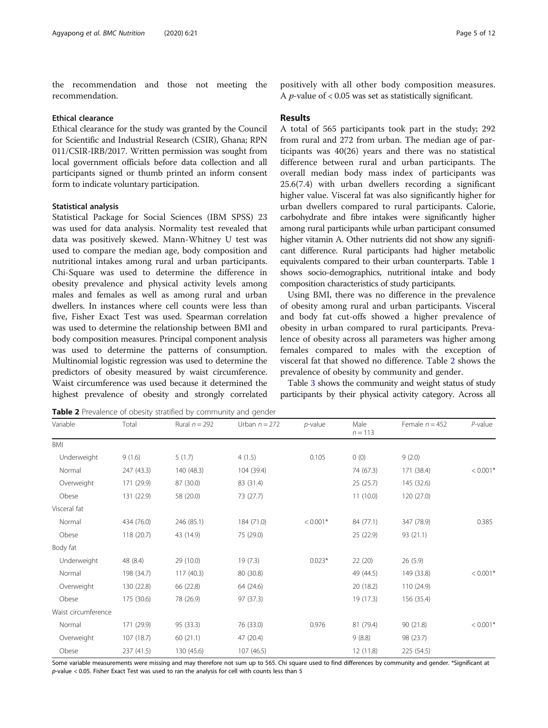the recommendation and those not meeting the recommendation.

#### Ethical clearance

Ethical clearance for the study was granted by the Council for Scientific and Industrial Research (CSIR), Ghana; RPN 011/CSIR-IRB/2017. Written permission was sought from local government officials before data collection and all participants signed or thumb printed an inform consent form to indicate voluntary participation.

## Statistical analysis

BMI

Statistical Package for Social Sciences (IBM SPSS) 23 was used for data analysis. Normality test revealed that data was positively skewed. Mann-Whitney U test was used to compare the median age, body composition and nutritional intakes among rural and urban participants. Chi-Square was used to determine the difference in obesity prevalence and physical activity levels among males and females as well as among rural and urban dwellers. In instances where cell counts were less than five, Fisher Exact Test was used. Spearman correlation was used to determine the relationship between BMI and body composition measures. Principal component analysis was used to determine the patterns of consumption. Multinomial logistic regression was used to determine the predictors of obesity measured by waist circumference. Waist circumference was used because it determined the highest prevalence of obesity and strongly correlated positively with all other body composition measures. A *p*-value of  $< 0.05$  was set as statistically significant.

## Results

A total of 565 participants took part in the study; 292 from rural and 272 from urban. The median age of participants was 40(26) years and there was no statistical difference between rural and urban participants. The overall median body mass index of participants was 25.6(7.4) with urban dwellers recording a significant higher value. Visceral fat was also significantly higher for urban dwellers compared to rural participants. Calorie, carbohydrate and fibre intakes were significantly higher among rural participants while urban participant consumed higher vitamin A. Other nutrients did not show any significant difference. Rural participants had higher metabolic equivalents compared to their urban counterparts. Table [1](#page-3-0) shows socio-demographics, nutritional intake and body composition characteristics of study participants.

Using BMI, there was no difference in the prevalence of obesity among rural and urban participants. Visceral and body fat cut-offs showed a higher prevalence of obesity in urban compared to rural participants. Prevalence of obesity across all parameters was higher among females compared to males with the exception of visceral fat that showed no difference. Table 2 shows the prevalence of obesity by community and gender.

Table [3](#page-5-0) shows the community and weight status of study participants by their physical activity category. Across all

Female  $n = 452$  P-value

 $n = 113$ 

Table 2 Prevalence of obesity stratified by community and gender

Variable Total Rural  $n = 292$  Urban  $n = 272$  p-value Male

Underweight 9 (1.6) 5 (1.7) 4 (1.5) 0.105 0 (0) 9 (2.0)

Normal 247 (43.3) 140 (48.3) 104 (39.4) 74 (67.3) 171 (38.4)  $\langle 0.001 \times 10^{-1} \rangle$ Overweight 171 (29.9) 87 (30.0) 83 (31.4) 25 (25.7) 145 (32.6) Obese 131 (22.9) 58 (20.0) 73 (27.7) 11 (10.0) 120 (27.0) Visceral fat Normal 434 (76.0) 246 (85.1) 184 (71.0) < 0.001\* 84 (77.1) 347 (78.9) 0.385 Obese 118 (20.7) 43 (14.9) 75 (29.0) 25 (22.9) 93 (21.1) Body fat Underweight 48 (8.4) 29 (10.0) 19 (7.3) 0.023\* 22 (20) 26 (5.9) Normal 198 (34.7) 117 (40.3) 80 (30.8) 49 (44.5) 149 (33.8) < 0.001\* Overweight 130 (22.8) 66 (22.8) 64 (24.6) 20 (18.2) 110 (24.9) Obese 175 (30.6) 78 (26.9) 97 (37.3) 19 (17.3) 156 (35.4) Waist circumference Normal 171 (29.9) 95 (33.3) 76 (33.0) 0.976 81 (79.4) 90 (21.8) < 0.001\* Overweight 107 (18.7) 60 (21.1) 47 (20.4) 9 (8.8) 98 (23.7) Obese 237 (41.5) 130 (45.6) 107 (46.5) 107 (46.5) 12 (11.8) 225 (54.5)

Some variable measurements were missing and may therefore not sum up to 565. Chi square used to find differences by community and gender. \*Significant at p-value < 0.05. Fisher Exact Test was used to ran the analysis for cell with counts less than 5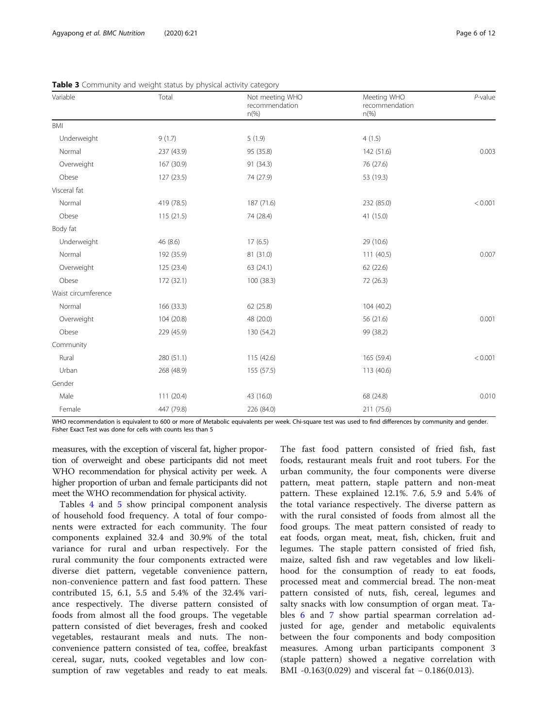| Variable            | Total      | Not meeting WHO<br>recommendation<br>$n\frac{9}{6}$ | Meeting WHO<br>recommendation<br>$n$ (%) | $P$ -value |
|---------------------|------------|-----------------------------------------------------|------------------------------------------|------------|
| BMI                 |            |                                                     |                                          |            |
| Underweight         | 9(1.7)     | 5(1.9)                                              | 4(1.5)                                   |            |
| Normal              | 237 (43.9) | 95 (35.8)                                           | 142 (51.6)                               | 0.003      |
| Overweight          | 167 (30.9) | 91 (34.3)                                           | 76 (27.6)                                |            |
| Obese               | 127 (23.5) | 74 (27.9)                                           | 53 (19.3)                                |            |
| Visceral fat        |            |                                                     |                                          |            |
| Normal              | 419 (78.5) | 187 (71.6)                                          | 232 (85.0)                               | < 0.001    |
| Obese               | 115(21.5)  | 74 (28.4)                                           | 41 (15.0)                                |            |
| Body fat            |            |                                                     |                                          |            |
| Underweight         | 46 (8.6)   | 17(6.5)                                             | 29 (10.6)                                |            |
| Normal              | 192 (35.9) | 81 (31.0)                                           | 111(40.5)                                | 0.007      |
| Overweight          | 125 (23.4) | 63 (24.1)                                           | 62 (22.6)                                |            |
| Obese               | 172 (32.1) | 100 (38.3)                                          | 72 (26.3)                                |            |
| Waist circumference |            |                                                     |                                          |            |
| Normal              | 166 (33.3) | 62(25.8)                                            | 104 (40.2)                               |            |
| Overweight          | 104 (20.8) | 48 (20.0)                                           | 56 (21.6)                                | 0.001      |
| Obese               | 229 (45.9) | 130 (54.2)                                          | 99 (38.2)                                |            |
| Community           |            |                                                     |                                          |            |
| Rural               | 280 (51.1) | 115 (42.6)                                          | 165 (59.4)                               | < 0.001    |
| Urban               | 268 (48.9) | 155 (57.5)                                          | 113 (40.6)                               |            |
| Gender              |            |                                                     |                                          |            |
| Male                | 111 (20.4) | 43 (16.0)                                           | 68 (24.8)                                | 0.010      |
| Female              | 447 (79.8) | 226 (84.0)                                          | 211 (75.6)                               |            |

<span id="page-5-0"></span>Table 3 Community and weight status by physical activity category

WHO recommendation is equivalent to 600 or more of Metabolic equivalents per week. Chi-square test was used to find differences by community and gender. Fisher Exact Test was done for cells with counts less than 5

measures, with the exception of visceral fat, higher proportion of overweight and obese participants did not meet WHO recommendation for physical activity per week. A higher proportion of urban and female participants did not meet the WHO recommendation for physical activity.

Tables [4](#page-6-0) and [5](#page-7-0) show principal component analysis of household food frequency. A total of four components were extracted for each community. The four components explained 32.4 and 30.9% of the total variance for rural and urban respectively. For the rural community the four components extracted were diverse diet pattern, vegetable convenience pattern, non-convenience pattern and fast food pattern. These contributed 15, 6.1, 5.5 and 5.4% of the 32.4% variance respectively. The diverse pattern consisted of foods from almost all the food groups. The vegetable pattern consisted of diet beverages, fresh and cooked vegetables, restaurant meals and nuts. The nonconvenience pattern consisted of tea, coffee, breakfast cereal, sugar, nuts, cooked vegetables and low consumption of raw vegetables and ready to eat meals.

The fast food pattern consisted of fried fish, fast foods, restaurant meals fruit and root tubers. For the urban community, the four components were diverse pattern, meat pattern, staple pattern and non-meat pattern. These explained 12.1%. 7.6, 5.9 and 5.4% of the total variance respectively. The diverse pattern as with the rural consisted of foods from almost all the food groups. The meat pattern consisted of ready to eat foods, organ meat, meat, fish, chicken, fruit and legumes. The staple pattern consisted of fried fish, maize, salted fish and raw vegetables and low likelihood for the consumption of ready to eat foods, processed meat and commercial bread. The non-meat pattern consisted of nuts, fish, cereal, legumes and salty snacks with low consumption of organ meat. Tables [6](#page-7-0) and [7](#page-8-0) show partial spearman correlation adjusted for age, gender and metabolic equivalents between the four components and body composition measures. Among urban participants component 3 (staple pattern) showed a negative correlation with BMI -0.163(0.029) and visceral fat − 0.186(0.013).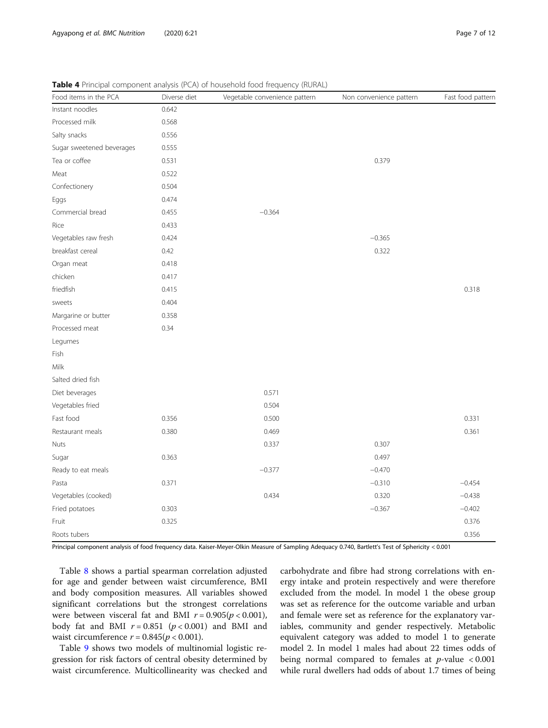| Food items in the PCA     | Diverse diet | Vegetable convenience pattern | Non convenience pattern | Fast food pattern |
|---------------------------|--------------|-------------------------------|-------------------------|-------------------|
| Instant noodles           | 0.642        |                               |                         |                   |
| Processed milk            | 0.568        |                               |                         |                   |
| Salty snacks              | 0.556        |                               |                         |                   |
| Sugar sweetened beverages | 0.555        |                               |                         |                   |
| Tea or coffee             | 0.531        |                               | 0.379                   |                   |
| Meat                      | 0.522        |                               |                         |                   |
| Confectionery             | 0.504        |                               |                         |                   |
| Eggs                      | 0.474        |                               |                         |                   |
| Commercial bread          | 0.455        | $-0.364$                      |                         |                   |
| Rice                      | 0.433        |                               |                         |                   |
| Vegetables raw fresh      | 0.424        |                               | $-0.365$                |                   |
| breakfast cereal          | 0.42         |                               | 0.322                   |                   |
| Organ meat                | 0.418        |                               |                         |                   |
| chicken                   | 0.417        |                               |                         |                   |
| friedfish                 | 0.415        |                               |                         | 0.318             |
| sweets                    | 0.404        |                               |                         |                   |
| Margarine or butter       | 0.358        |                               |                         |                   |
| Processed meat            | 0.34         |                               |                         |                   |
| Legumes                   |              |                               |                         |                   |
| Fish                      |              |                               |                         |                   |
| Milk                      |              |                               |                         |                   |
| Salted dried fish         |              |                               |                         |                   |
| Diet beverages            |              | 0.571                         |                         |                   |
| Vegetables fried          |              | 0.504                         |                         |                   |
| Fast food                 | 0.356        | 0.500                         |                         | 0.331             |
| Restaurant meals          | 0.380        | 0.469                         |                         | 0.361             |
| Nuts                      |              | 0.337                         | 0.307                   |                   |
| Sugar                     | 0.363        |                               | 0.497                   |                   |
| Ready to eat meals        |              | $-0.377$                      | $-0.470$                |                   |
| Pasta                     | 0.371        |                               | $-0.310$                | $-0.454$          |
| Vegetables (cooked)       |              | 0.434                         | 0.320                   | $-0.438$          |
| Fried potatoes            | 0.303        |                               | $-0.367$                | $-0.402$          |
| Fruit                     | 0.325        |                               |                         | 0.376             |
| Roots tubers              |              |                               |                         | 0.356             |
|                           |              |                               |                         |                   |

<span id="page-6-0"></span>Table 4 Principal component analysis (PCA) of household food frequency (RURAL)

Principal component analysis of food frequency data. Kaiser-Meyer-Olkin Measure of Sampling Adequacy 0.740, Bartlett's Test of Sphericity < 0.001

Table [8](#page-8-0) shows a partial spearman correlation adjusted for age and gender between waist circumference, BMI and body composition measures. All variables showed significant correlations but the strongest correlations were between visceral fat and BMI  $r = 0.905(p < 0.001)$ , body fat and BMI  $r = 0.851$  ( $p < 0.001$ ) and BMI and waist circumference  $r = 0.845(p < 0.001)$ .

Table [9](#page-9-0) shows two models of multinomial logistic regression for risk factors of central obesity determined by waist circumference. Multicollinearity was checked and

carbohydrate and fibre had strong correlations with energy intake and protein respectively and were therefore excluded from the model. In model 1 the obese group was set as reference for the outcome variable and urban and female were set as reference for the explanatory variables, community and gender respectively. Metabolic equivalent category was added to model 1 to generate model 2. In model 1 males had about 22 times odds of being normal compared to females at  $p$ -value < 0.001 while rural dwellers had odds of about 1.7 times of being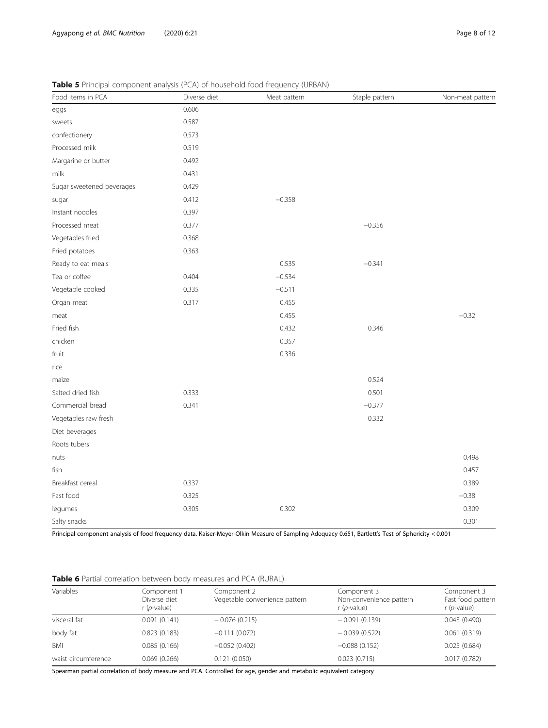| Food items in PCA         | Diverse diet | Meat pattern | Staple pattern | Non-meat pattern |
|---------------------------|--------------|--------------|----------------|------------------|
| eggs                      | 0.606        |              |                |                  |
| sweets                    | 0.587        |              |                |                  |
| confectionery             | 0.573        |              |                |                  |
| Processed milk            | 0.519        |              |                |                  |
| Margarine or butter       | 0.492        |              |                |                  |
| milk                      | 0.431        |              |                |                  |
| Sugar sweetened beverages | 0.429        |              |                |                  |
| sugar                     | 0.412        | $-0.358$     |                |                  |
| Instant noodles           | 0.397        |              |                |                  |
| Processed meat            | 0.377        |              | $-0.356$       |                  |
| Vegetables fried          | 0.368        |              |                |                  |
| Fried potatoes            | 0.363        |              |                |                  |
| Ready to eat meals        |              | 0.535        | $-0.341$       |                  |
| Tea or coffee             | 0.404        | $-0.534$     |                |                  |
| Vegetable cooked          | 0.335        | $-0.511$     |                |                  |
| Organ meat                | 0.317        | 0.455        |                |                  |
| meat                      |              | 0.455        |                | $-0.32$          |
| Fried fish                |              | 0.432        | 0.346          |                  |
| chicken                   |              | 0.357        |                |                  |
| fruit                     |              | 0.336        |                |                  |
| rice                      |              |              |                |                  |
| maize                     |              |              | 0.524          |                  |
| Salted dried fish         | 0.333        |              | 0.501          |                  |
| Commercial bread          | 0.341        |              | $-0.377$       |                  |
| Vegetables raw fresh      |              |              | 0.332          |                  |
| Diet beverages            |              |              |                |                  |
| Roots tubers              |              |              |                |                  |
| nuts                      |              |              |                | 0.498            |
| fish                      |              |              |                | 0.457            |
| Breakfast cereal          | 0.337        |              |                | 0.389            |
| Fast food                 | 0.325        |              |                | $-0.38$          |
| legumes                   | 0.305        | 0.302        |                | 0.309            |
| Salty snacks              |              |              |                | 0.301            |

<span id="page-7-0"></span>Table 5 Principal component analysis (PCA) of household food frequency (URBAN)

Principal component analysis of food frequency data. Kaiser-Meyer-Olkin Measure of Sampling Adequacy 0.651, Bartlett's Test of Sphericity < 0.001

## Table 6 Partial correlation between body measures and PCA (RURAL)

| Variables           | Component 1<br>Diverse diet<br>$r$ ( <i>p</i> -value) | Component 2<br>Vegetable convenience pattern | Component 3<br>Non-convenience pattern<br>$r$ ( <i>p</i> -value) | Component 3<br>Fast food pattern<br>$r$ ( <i>p</i> -value) |
|---------------------|-------------------------------------------------------|----------------------------------------------|------------------------------------------------------------------|------------------------------------------------------------|
| visceral fat        | 0.091(0.141)                                          | $-0.076(0.215)$                              | $-0.091(0.139)$                                                  | 0.043(0.490)                                               |
| body fat            | 0.823(0.183)                                          | $-0.111(0.072)$                              | $-0.039(0.522)$                                                  | 0.061(0.319)                                               |
| <b>BMI</b>          | 0.085(0.166)                                          | $-0.052(0.402)$                              | $-0.088(0.152)$                                                  | 0.025(0.684)                                               |
| waist circumference | 0.069(0.266)                                          | 0.121(0.050)                                 | 0.023(0.715)                                                     | 0.017(0.782)                                               |

Spearman partial correlation of body measure and PCA. Controlled for age, gender and metabolic equivalent category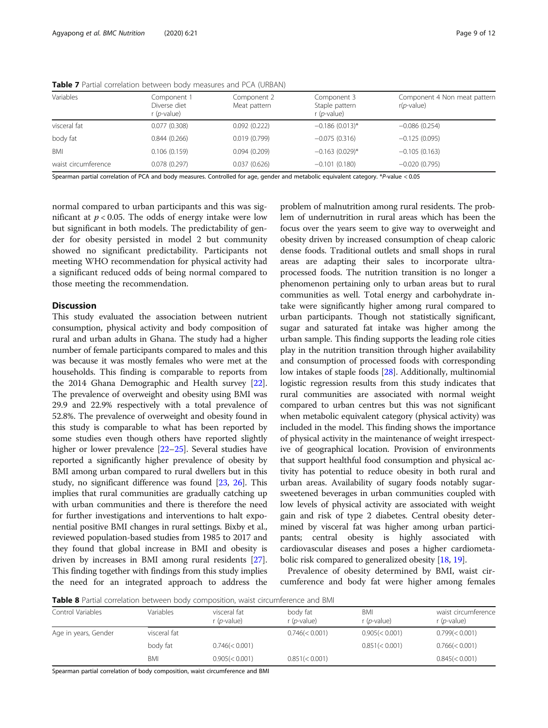| Variables           | Component 1<br>Diverse diet<br>$r$ ( <i>p</i> -value) | Component 2<br>Meat pattern | Component 3<br>Staple pattern<br>r ( <i>p</i> -value) | Component 4 Non meat pattern<br>$r(p$ -value) |
|---------------------|-------------------------------------------------------|-----------------------------|-------------------------------------------------------|-----------------------------------------------|
| visceral fat        | 0.077(0.308)                                          | 0.092(0.222)                | $-0.186(0.013)$ *                                     | $-0.086(0.254)$                               |
| body fat            | 0.844(0.266)                                          | 0.019(0.799)                | $-0.075(0.316)$                                       | $-0.125(0.095)$                               |
| <b>BMI</b>          | 0.106(0.159)                                          | 0.094(0.209)                | $-0.163(0.029)$ *                                     | $-0.105(0.163)$                               |
| waist circumference | 0.078(0.297)                                          | 0.037(0.626)                | $-0.101(0.180)$                                       | $-0.020(0.795)$                               |

<span id="page-8-0"></span>Table 7 Partial correlation between body measures and PCA (URBAN)

Spearman partial correlation of PCA and body measures. Controlled for age, gender and metabolic equivalent category. \*P-value < 0.05

normal compared to urban participants and this was significant at  $p < 0.05$ . The odds of energy intake were low but significant in both models. The predictability of gender for obesity persisted in model 2 but community showed no significant predictability. Participants not meeting WHO recommendation for physical activity had a significant reduced odds of being normal compared to those meeting the recommendation.

## **Discussion**

This study evaluated the association between nutrient consumption, physical activity and body composition of rural and urban adults in Ghana. The study had a higher number of female participants compared to males and this was because it was mostly females who were met at the households. This finding is comparable to reports from the 2014 Ghana Demographic and Health survey [[22](#page-11-0)]. The prevalence of overweight and obesity using BMI was 29.9 and 22.9% respectively with a total prevalence of 52.8%. The prevalence of overweight and obesity found in this study is comparable to what has been reported by some studies even though others have reported slightly higher or lower prevalence [\[22](#page-11-0)–[25](#page-11-0)]. Several studies have reported a significantly higher prevalence of obesity by BMI among urban compared to rural dwellers but in this study, no significant difference was found [[23](#page-11-0), [26](#page-11-0)]. This implies that rural communities are gradually catching up with urban communities and there is therefore the need for further investigations and interventions to halt exponential positive BMI changes in rural settings. Bixby et al., reviewed population-based studies from 1985 to 2017 and they found that global increase in BMI and obesity is driven by increases in BMI among rural residents [[27](#page-11-0)]. This finding together with findings from this study implies the need for an integrated approach to address the

problem of malnutrition among rural residents. The problem of undernutrition in rural areas which has been the focus over the years seem to give way to overweight and obesity driven by increased consumption of cheap caloric dense foods. Traditional outlets and small shops in rural areas are adapting their sales to incorporate ultraprocessed foods. The nutrition transition is no longer a phenomenon pertaining only to urban areas but to rural communities as well. Total energy and carbohydrate intake were significantly higher among rural compared to urban participants. Though not statistically significant, sugar and saturated fat intake was higher among the urban sample. This finding supports the leading role cities play in the nutrition transition through higher availability and consumption of processed foods with corresponding low intakes of staple foods [[28](#page-11-0)]. Additionally, multinomial logistic regression results from this study indicates that rural communities are associated with normal weight compared to urban centres but this was not significant when metabolic equivalent category (physical activity) was included in the model. This finding shows the importance of physical activity in the maintenance of weight irrespective of geographical location. Provision of environments that support healthful food consumption and physical activity has potential to reduce obesity in both rural and urban areas. Availability of sugary foods notably sugarsweetened beverages in urban communities coupled with low levels of physical activity are associated with weight gain and risk of type 2 diabetes. Central obesity determined by visceral fat was higher among urban participants; central obesity is highly associated with cardiovascular diseases and poses a higher cardiometabolic risk compared to generalized obesity [\[18](#page-11-0), [19](#page-11-0)].

Prevalence of obesity determined by BMI, waist circumference and body fat were higher among females

**Table 8** Partial correlation between body composition, waist circumference and BMI

| Control Variables    | Variables    | visceral fat<br>$r$ ( <i>p</i> -value) | body fat<br>$r$ ( <i>p</i> -value) | BMI<br>$r$ ( <i>p</i> -value) | waist circumference<br>$r$ ( <i>p</i> -value) |
|----------------------|--------------|----------------------------------------|------------------------------------|-------------------------------|-----------------------------------------------|
| Age in years, Gender | visceral fat |                                        | 0.746 (< 0.001)                    | $0.905 \times 0.001$          | $0.799 \times 0.001$                          |
|                      | body fat     | 0.746 (< 0.001)                        |                                    | 0.851 (< 0.001)               | $0.766 \leq 0.001$                            |
|                      | <b>BMI</b>   | $0.905 \times 0.001$                   | 0.851 (< 0.001)                    |                               | $0.845 \times 0.001$                          |

Spearman partial correlation of body composition, waist circumference and BMI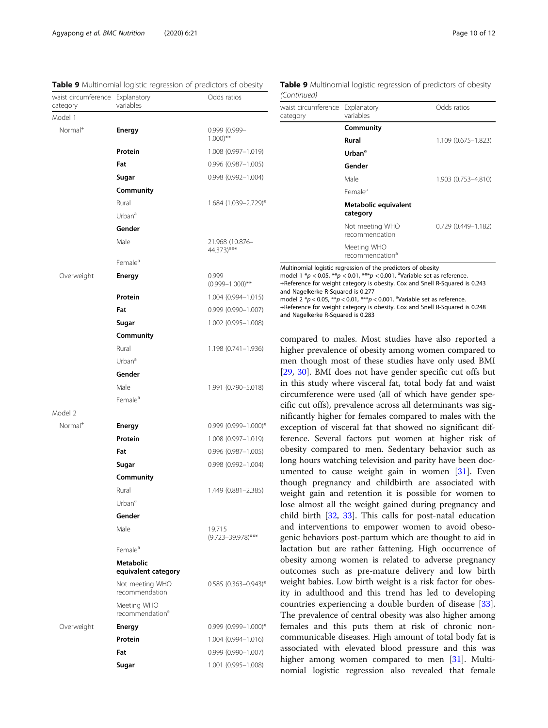| waist circumference Explanatory<br>category | variables                                  | Odds ratios                      |
|---------------------------------------------|--------------------------------------------|----------------------------------|
| Model 1                                     |                                            |                                  |
| $Normal+$                                   | <b>Energy</b>                              | 0.999 (0.999-<br>$1.000)**$      |
|                                             | Protein                                    | $1.008(0.997 - 1.019)$           |
|                                             | Fat                                        | 0.996 (0.987-1.005)              |
|                                             | Sugar                                      | $0.998(0.992 - 1.004)$           |
|                                             | Community                                  |                                  |
|                                             | Rural                                      | 1.684 (1.039-2.729)*             |
|                                             | Urban <sup>a</sup>                         |                                  |
|                                             | Gender                                     |                                  |
|                                             | Male                                       | 21.968 (10.876-<br>44.373)***    |
|                                             | Female <sup>a</sup>                        |                                  |
| Overweight                                  | Energy                                     | 0.999<br>$(0.999 - 1.000)$ **    |
|                                             | Protein                                    | $1.004(0.994 - 1.015)$           |
|                                             | Fat                                        | $0.999(0.990 - 1.007)$           |
|                                             | Sugar                                      | 1.002 (0.995-1.008)              |
|                                             | Community                                  |                                  |
|                                             | Rural                                      | 1.198 (0.741-1.936)              |
|                                             | Urban <sup>a</sup>                         |                                  |
|                                             | Gender                                     |                                  |
|                                             | Male                                       | 1.991 (0.790-5.018)              |
|                                             | Female <sup>a</sup>                        |                                  |
| Model 2                                     |                                            |                                  |
| Normal <sup>+</sup>                         | <b>Energy</b>                              | $0.999$ $(0.999 - 1.000)^*$      |
|                                             | Protein                                    | 1.008 (0.997-1.019)              |
|                                             | Fat                                        | 0.996 (0.987-1.005)              |
|                                             | Sugar                                      | $0.998(0.992 - 1.004)$           |
|                                             | Community                                  |                                  |
|                                             | Rural                                      | 1.449 (0.881-2.385)              |
|                                             | Urban <sup>a</sup>                         |                                  |
|                                             | Gender                                     |                                  |
|                                             | Male                                       | 19.715<br>$(9.723 - 39.978)$ *** |
|                                             | Female <sup>a</sup>                        |                                  |
|                                             | <b>Metabolic</b><br>equivalent category    |                                  |
|                                             | Not meeting WHO<br>recommendation          | $0.585$ $(0.363 - 0.943)^*$      |
|                                             | Meeting WHO<br>recommendation <sup>a</sup> |                                  |
| Overweight                                  | Energy                                     | $0.999$ $(0.999 - 1.000)$ *      |
|                                             | Protein                                    | 1.004 (0.994-1.016)              |
|                                             | Fat                                        | $0.999(0.990 - 1.007)$           |

**Sugar** 1.001 (0.995–1.008)

<span id="page-9-0"></span>

| Table 9 Multinomial logistic regression of predictors of obesity |  |  | Table 9 |
|------------------------------------------------------------------|--|--|---------|
|------------------------------------------------------------------|--|--|---------|

Multinomial logistic regression of predictors of obesity (Continued)

| waist circumference<br>category | Explanatory<br>variables                                     | Odds ratios            |
|---------------------------------|--------------------------------------------------------------|------------------------|
|                                 | Community                                                    |                        |
|                                 | Rural                                                        | 1.109 (0.675-1.823)    |
|                                 | Urban <sup>a</sup>                                           |                        |
|                                 | Gender                                                       |                        |
|                                 | Male                                                         | 1.903 (0.753-4.810)    |
|                                 | Female <sup>a</sup>                                          |                        |
|                                 | Metabolic equivalent<br>category                             |                        |
|                                 | Not meeting WHO<br>recommendation                            | $0.729(0.449 - 1.182)$ |
|                                 | Meeting WHO<br>recommendation <sup>a</sup>                   |                        |
|                                 | Multinomial logistic regression of the predictors of obesity |                        |

model 1  $np < 0.05$ ,  $\binom{4}{p} < 0.01$ ,  $\binom{4}{p} < 0.001$ . avariable set as reference. +Reference for weight category is obesity. Cox and Snell R-Squared is 0.243 and Nagelkerke R-Squared is 0.277

model  $2 * p < 0.05$ ,  $** p < 0.01$ ,  $*** p < 0.001$ . <sup>a</sup>Variable set as reference.

+Reference for weight category is obesity. Cox and Snell R-Squared is 0.248 and Nagelkerke R-Squared is 0.283

compared to males. Most studies have also reported a higher prevalence of obesity among women compared to men though most of these studies have only used BMI [[29,](#page-11-0) [30](#page-11-0)]. BMI does not have gender specific cut offs but in this study where visceral fat, total body fat and waist circumference were used (all of which have gender specific cut offs), prevalence across all determinants was significantly higher for females compared to males with the exception of visceral fat that showed no significant difference. Several factors put women at higher risk of obesity compared to men. Sedentary behavior such as long hours watching television and parity have been documented to cause weight gain in women [[31\]](#page-11-0). Even though pregnancy and childbirth are associated with weight gain and retention it is possible for women to lose almost all the weight gained during pregnancy and child birth [[32](#page-11-0), [33\]](#page-11-0). This calls for post-natal education and interventions to empower women to avoid obesogenic behaviors post-partum which are thought to aid in lactation but are rather fattening. High occurrence of obesity among women is related to adverse pregnancy outcomes such as pre-mature delivery and low birth weight babies. Low birth weight is a risk factor for obesity in adulthood and this trend has led to developing countries experiencing a double burden of disease [\[33](#page-11-0)]. The prevalence of central obesity was also higher among females and this puts them at risk of chronic noncommunicable diseases. High amount of total body fat is associated with elevated blood pressure and this was higher among women compared to men [[31](#page-11-0)]. Multinomial logistic regression also revealed that female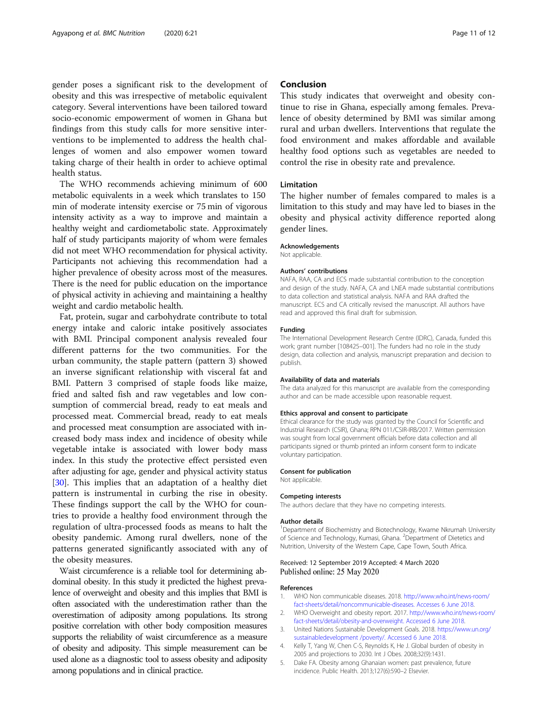<span id="page-10-0"></span>gender poses a significant risk to the development of obesity and this was irrespective of metabolic equivalent category. Several interventions have been tailored toward socio-economic empowerment of women in Ghana but findings from this study calls for more sensitive interventions to be implemented to address the health challenges of women and also empower women toward taking charge of their health in order to achieve optimal health status.

The WHO recommends achieving minimum of 600 metabolic equivalents in a week which translates to 150 min of moderate intensity exercise or 75 min of vigorous intensity activity as a way to improve and maintain a healthy weight and cardiometabolic state. Approximately half of study participants majority of whom were females did not meet WHO recommendation for physical activity. Participants not achieving this recommendation had a higher prevalence of obesity across most of the measures. There is the need for public education on the importance of physical activity in achieving and maintaining a healthy weight and cardio metabolic health.

Fat, protein, sugar and carbohydrate contribute to total energy intake and caloric intake positively associates with BMI. Principal component analysis revealed four different patterns for the two communities. For the urban community, the staple pattern (pattern 3) showed an inverse significant relationship with visceral fat and BMI. Pattern 3 comprised of staple foods like maize, fried and salted fish and raw vegetables and low consumption of commercial bread, ready to eat meals and processed meat. Commercial bread, ready to eat meals and processed meat consumption are associated with increased body mass index and incidence of obesity while vegetable intake is associated with lower body mass index. In this study the protective effect persisted even after adjusting for age, gender and physical activity status [[30\]](#page-11-0). This implies that an adaptation of a healthy diet pattern is instrumental in curbing the rise in obesity. These findings support the call by the WHO for countries to provide a healthy food environment through the regulation of ultra-processed foods as means to halt the obesity pandemic. Among rural dwellers, none of the patterns generated significantly associated with any of the obesity measures.

Waist circumference is a reliable tool for determining abdominal obesity. In this study it predicted the highest prevalence of overweight and obesity and this implies that BMI is often associated with the underestimation rather than the overestimation of adiposity among populations. Its strong positive correlation with other body composition measures supports the reliability of waist circumference as a measure of obesity and adiposity. This simple measurement can be used alone as a diagnostic tool to assess obesity and adiposity among populations and in clinical practice.

## Conclusion

This study indicates that overweight and obesity continue to rise in Ghana, especially among females. Prevalence of obesity determined by BMI was similar among rural and urban dwellers. Interventions that regulate the food environment and makes affordable and available healthy food options such as vegetables are needed to control the rise in obesity rate and prevalence.

## Limitation

The higher number of females compared to males is a limitation to this study and may have led to biases in the obesity and physical activity difference reported along gender lines.

#### Acknowledgements

Not applicable

#### Authors' contributions

NAFA, RAA, CA and ECS made substantial contribution to the conception and design of the study. NAFA, CA and LNEA made substantial contributions to data collection and statistical analysis. NAFA and RAA drafted the manuscript. ECS and CA critically revised the manuscript. All authors have read and approved this final draft for submission.

#### Funding

The International Development Research Centre (IDRC), Canada, funded this work; grant number [108425–001]. The funders had no role in the study design, data collection and analysis, manuscript preparation and decision to publish.

#### Availability of data and materials

The data analyzed for this manuscript are available from the corresponding author and can be made accessible upon reasonable request.

#### Ethics approval and consent to participate

Ethical clearance for the study was granted by the Council for Scientific and Industrial Research (CSIR), Ghana; RPN 011/CSIR-IRB/2017. Written permission was sought from local government officials before data collection and all participants signed or thumb printed an inform consent form to indicate voluntary participation.

#### Consent for publication

Not applicable.

#### Competing interests

The authors declare that they have no competing interests.

#### Author details

<sup>1</sup>Department of Biochemistry and Biotechnology, Kwame Nkrumah University of Science and Technology, Kumasi, Ghana. <sup>2</sup>Department of Dietetics and Nutrition, University of the Western Cape, Cape Town, South Africa.

#### Received: 12 September 2019 Accepted: 4 March 2020 Published online: 25 May 2020

#### References

- 1. WHO Non communicable diseases. 2018. [http://www.who.int/news-room/](http://www.who.int/news-room/fact-sheets/detail/noncommunicable-diseases.%20Accesses%206%20June%202018) [fact-sheets/detail/noncommunicable-diseases. Accesses 6 June 2018.](http://www.who.int/news-room/fact-sheets/detail/noncommunicable-diseases.%20Accesses%206%20June%202018)
- 2. WHO Overweight and obesity report. 2017. [http://www.who.int/news-room/](http://www.who.int/news-room/fact-sheets/detail/obesity-and-overweight.%20Accessed%206%20June%202018) [fact-sheets/detail/obesity-and-overweight. Accessed 6 June 2018.](http://www.who.int/news-room/fact-sheets/detail/obesity-and-overweight.%20Accessed%206%20June%202018)
- 3. United Nations Sustainable Development Goals. 2018. [https://www.un.org/](https://www.un.org/sustainabledevelopment%20/poverty/.%20Accessed%206%20June%202018) [sustainabledevelopment /poverty/. Accessed 6 June 2018](https://www.un.org/sustainabledevelopment%20/poverty/.%20Accessed%206%20June%202018).
- 4. Kelly T, Yang W, Chen C-S, Reynolds K, He J. Global burden of obesity in 2005 and projections to 2030. Int J Obes. 2008;32(9):1431.
- 5. Dake FA. Obesity among Ghanaian women: past prevalence, future incidence. Public Health. 2013;127(6):590–2 Elsevier.